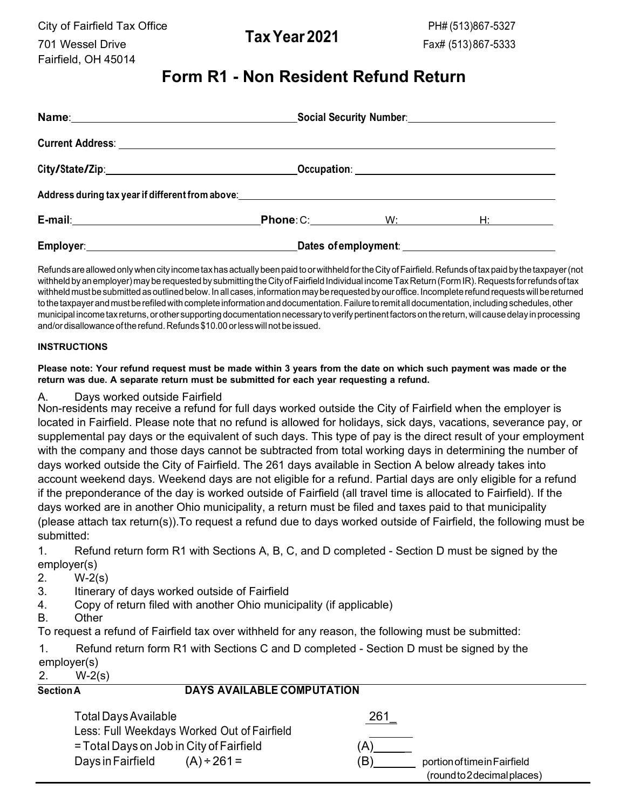City of Fairfield Tax Office 701 Wessel Drive **TaxYear 2021** Fairfield, OH 45014

# **Form R1 - Non Resident Refund Return**

|                                                                                                                 | Social Security Number:<br>Social Security Number:  |                     |                 |  |
|-----------------------------------------------------------------------------------------------------------------|-----------------------------------------------------|---------------------|-----------------|--|
|                                                                                                                 |                                                     |                     |                 |  |
|                                                                                                                 |                                                     |                     |                 |  |
| Address during tax year if different from above: North American Control of the Control of the Control of the Co |                                                     |                     |                 |  |
| E-mail: 2008 2010 2010 2021 2022 2023 2024 2022 2022 2023 2024 2022 2023 2024 2022 2023 2024 2022 2023 2024 20  |                                                     | <b>Phone: C:</b> W: | H: Albert March |  |
|                                                                                                                 | Dates of employment: ______________________________ |                     |                 |  |

Refunds are allowed only when city income tax has actually been paid to or withheld for the City of Fairfield. Refunds of tax paid by the taxpayer (not withheld by an employer) may be requested by submitting the City of Fairfield Individual income Tax Return (Form IR). Requests for refunds of tax withheld must be submitted as outlined below. In all cases, information may be requested by our office. Incomplete refund requests will be returned to the taxpayer and must be refiled with complete information and documentation. Failure to remit all documentation, including schedules, other municipal income tax returns, or other supporting documentation necessary to verify pertinent factors on the return, will cause delay in processing and/or disallowance of the refund. Refunds \$10.00 or less will not be issued.

### **INSTRUCTIONS**

#### **Please note: Your refund request must be made within 3 years from the date on which such payment was made or the return was due. A separate return must be submitted for each year requesting a refund.**

## A. Days worked outside Fairfield

Non-residents may receive a refund for full days worked outside the City of Fairfield when the employer is located in Fairfield. Please note that no refund is allowed for holidays, sick days, vacations, severance pay, or supplemental pay days or the equivalent of such days. This type of pay is the direct result of your employment with the company and those days cannot be subtracted from total working days in determining the number of days worked outside the City of Fairfield. The 261 days available in Section A below already takes into account weekend days. Weekend days are not eligible for a refund. Partial days are only eligible for a refund if the preponderance of the day is worked outside of Fairfield (all travel time is allocated to Fairfield). If the days worked are in another Ohio municipality, a return must be filed and taxes paid to that municipality (please attach tax return(s)).To request a refund due to days worked outside of Fairfield, the following must be submitted:

1. Refund return form R1 with Sections A, B, C, and D completed - Section D must be signed by the employer(s)

2. W-2(s)

- 3. Itinerary of days worked outside of Fairfield
- 4. Copy of return filed with another Ohio municipality (if applicable)
- B. Other

To request a refund of Fairfield tax over withheld for any reason, the following must be submitted:

1. Refund return form R1 with Sections C and D completed - Section D must be signed by the employer(s)

| $\mathbf{2}$                                          | $W-2(s)$                                                                                     |                                                                 |          |                                                             |
|-------------------------------------------------------|----------------------------------------------------------------------------------------------|-----------------------------------------------------------------|----------|-------------------------------------------------------------|
| <b>DAYS AVAILABLE COMPUTATION</b><br><b>Section A</b> |                                                                                              |                                                                 |          |                                                             |
|                                                       | <b>Total Days Available</b><br>= Total Days on Job in City of Fairfield<br>Days in Fairfield | Less: Full Weekdays Worked Out of Fairfield<br>$(A) \div 261 =$ | 261<br>Έ | portion of time in Fairfield<br>(round to 2 decimal places) |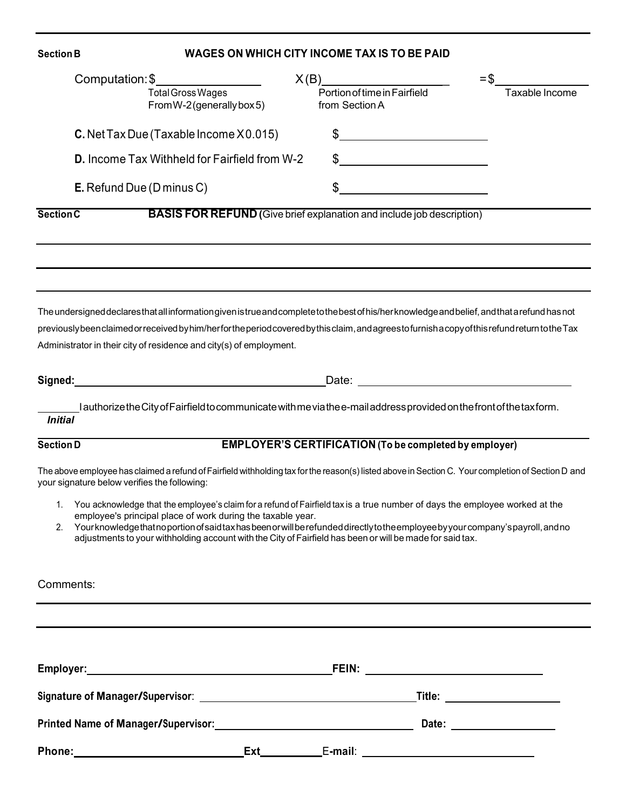# **Section B WAGES ON WHICH CITY INCOME TAX IS TO BE PAID**  $1 \times (B)$  = \$ Total Gross Wages PortionoftimeinFairfield Taxable Income From W-2 (generallybox 5) from Section A **C.** NetTax Due (Taxable Income X 0.015) \$ **D.** Income Tax Withheld for Fairfield from W-2 \$ **E.** Refund Due (D minus C) \$ **Section C BASIS FOR REFUND (**Give brief explanation and include job description) The undersigned declares that all information given is true and complete to the best of his/her knowledge and belief, and that a refund has not previously been claimed or received byhim/herfortheperiod covered bythis claim, andagreesto furnish a copy ofthisrefundreturntothe Tax Administrator in their city of residence and city(s) of employment. **Signed:** Date: I authorize theCityofFairfieldto communicate withme via the e-mail address provided onthefrontofthetaxform. *Initial* **Section D EMPLOYER'S CERTIFICATION (To be completed by employer)** The above employee has claimed a refund ofFairfield withholding tax forthe reason(s) listed above in Section C. Your completion of Section D and your signature below verifies the following: 1. You acknowledge that the employee's claim for a refund of Fairfield tax is a true number of days the employee worked at the employee's principal place of work during the taxable year. 2. Yourknowledge thatnoportionofsaid taxhasbeenorwillberefundeddirectlytotheemployee byyour company's payroll,andno adjustments to your withholding account with the City of Fairfield has been or will be made for said tax. Comments: **Employer: FEIN: Signature of Manager/Supervisor**: **Title: Printed Name of Manager/Supervisor: Date: Phone: Ext** E**-mail**: